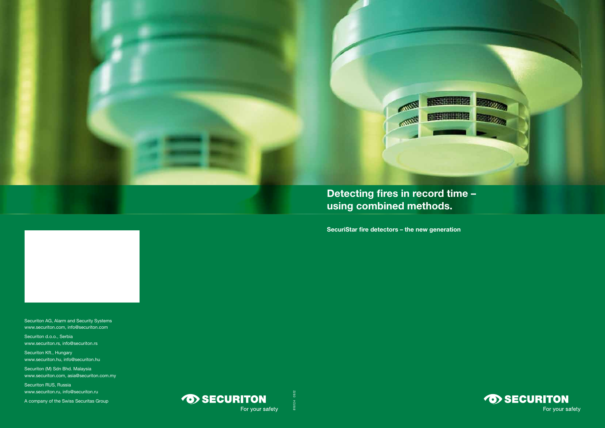**SecuriStar fire detectors – the new generation**

Securiton AG, Alarm and Security Systems www.securiton.com, info@securiton.com

Securiton d.o.o., Serbia www.securiton.rs, info@securiton.rs

Securiton (M) Sdn Bhd. Malaysia www.securiton.com, asia@securiton.com.my

Securiton Kft., Hungary www.securiton.hu, info@securiton.hu

Securiton RUS, Russia www.securiton.ru, info@securiton.ru

A company of the Swiss Securitas Group





816124 09.12

09.12

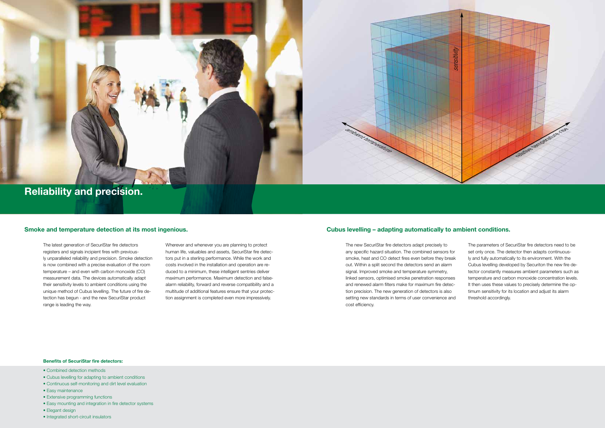# **Reliability and precision.**

### **Benefits of SecuriStar fire detectors:**

- Combined detection methods
- Cubus levelling for adapting to ambient conditions
- Continuous self-monitoring and dirt level evaluation
- Easy maintenance
- Extensive programming functions
- Easy mounting and integration in fire detector systems
- Elegant design
- Integrated short-circuit insulators

The latest generation of SecuriStar fire detectors registers and signals incipient fires with previously unparalleled reliability and precision. Smoke detection is now combined with a precise evaluation of the room temperature – and even with carbon monoxide (CO) measurement data. The devices automatically adapt their sensitivity levels to ambient conditions using the unique method of Cubus levelling. The future of fire detection has begun - and the new SecuriStar product range is leading the way.

Wherever and whenever you are planning to protect human life, valuables and assets, SecuriStar fire detectors put in a sterling performance. While the work and costs involved in the installation and operation are reduced to a minimum, these intelligent sentries deliver maximum performance. Maximum detection and falsealarm reliability, forward and reverse compatibility and a multitude of additional features ensure that your protection assignment is completed even more impressively.

The new SecuriStar fire detectors adapt precisely to any specific hazard situation. The combined sensors for smoke, heat and CO detect fires even before they break out. Within a split second the detectors send an alarm signal. Improved smoke and temperature symmetry, linked sensors, optimised smoke penetration responses and renewed alarm filters make for maximum fire detection precision. The new generation of detectors is also setting new standards in terms of user convenience and cost efficiency.

## **Smoke and temperature detection at its most ingenious. Cubus levelling – adapting automatically to ambient conditions.**

The parameters of SecuriStar fire detectors need to be set only once. The detector then adapts continuously and fully automatically to its environment. With the Cubus levelling developed by Securiton the new fire detector constantly measures ambient parameters such as temperature and carbon monoxide concentration levels. It then uses these values to precisely determine the optimum sensitivity for its location and adjust its alarm threshold accordingly.

ambient temperature

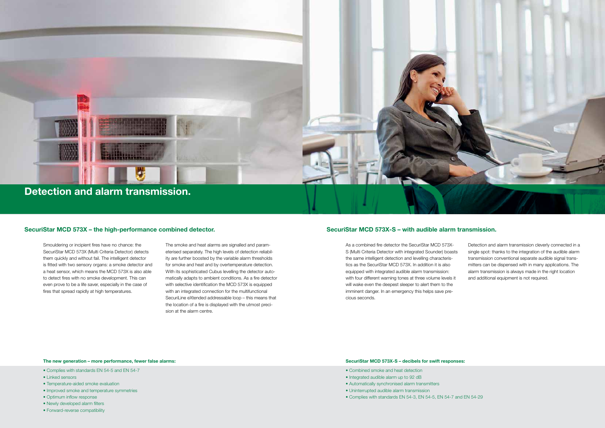### **The new generation – more performance, fewer false alarms:**

- Complies with standards EN 54-5 and EN 54-7
- Linked sensors
- Temperature-aided smoke evaluation
- Improved smoke and temperature symmetries
- Optimum inflow response
- Newly developed alarm filters
- Forward-reverse compatibility

### **SecuriStar MCD 573X-S – decibels for swift responses:**

- Combined smoke and heat detection
- Integrated audible alarm up to 92 dB
- Automatically synchronised alarm transmitters
- Uninterrupted audible alarm transmission
- Complies with standards EN 54-3, EN 54-5, EN 54-7 and EN 54-29

Smouldering or incipient fires have no chance: the SecuriStar MCD 573X (Multi Criteria Detector) detects them quickly and without fail. The intelligent detector is fitted with two sensory organs: a smoke detector and a heat sensor, which means the MCD 573X is also able to detect fires with no smoke development. This can even prove to be a life saver, especially in the case of fires that spread rapidly at high temperatures.

The smoke and heat alarms are signalled and parameterised separately. The high levels of detection reliability are further boosted by the variable alarm thresholds for smoke and heat and by overtemperature detection. With its sophisticated Cubus levelling the detector automatically adapts to ambient conditions. As a fire detector with selective identification the MCD 573X is equipped with an integrated connection for the multifunctional SecuriLine eXtended addressable loop – this means that the location of a fire is displayed with the utmost precision at the alarm centre.

As a combined fire detector the SecuriStar MCD 573X-S (Multi Criteria Detector with integrated Sounder) boasts the same intelligent detection and levelling characteristics as the SecuriStar MCD 573X. In addition it is also equipped with integrated audible alarm transmission: with four different warning tones at three volume levels it will wake even the deepest sleeper to alert them to the imminent danger. In an emergency this helps save precious seconds. Detection and alarm transmission cleverly connected in a single spot: thanks to the integration of the audible alarm transmission conventional separate audible signal transmitters can be dispensed with in many applications. The alarm transmission is always made in the right location and additional equipment is not required.

# **SecuriStar MCD 573X – the high-performance combined detector. SecuriStar MCD 573X-S – with audible alarm transmission.**